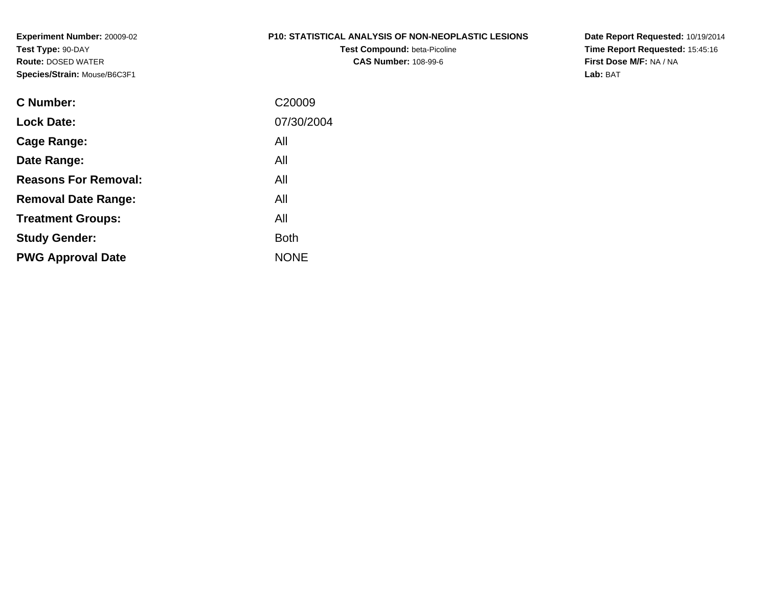#### **P10: STATISTICAL ANALYSIS OF NON-NEOPLASTIC LESIONS**

**Test Compound:** beta-Picoline**CAS Number:** 108-99-6

**Date Report Requested:** 10/19/2014 **Time Report Requested:** 15:45:16**First Dose M/F:** NA / NA**Lab:** BAT

| C Number:                   | C <sub>20009</sub> |
|-----------------------------|--------------------|
| <b>Lock Date:</b>           | 07/30/2004         |
| Cage Range:                 | All                |
| Date Range:                 | All                |
| <b>Reasons For Removal:</b> | All                |
| <b>Removal Date Range:</b>  | All                |
| <b>Treatment Groups:</b>    | All                |
| <b>Study Gender:</b>        | <b>Both</b>        |
| <b>PWG Approval Date</b>    | <b>NONE</b>        |
|                             |                    |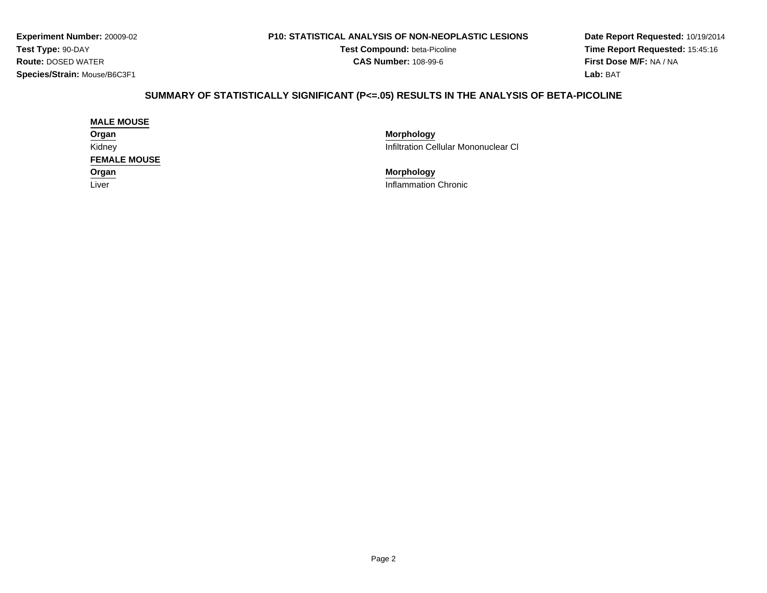#### **P10: STATISTICAL ANALYSIS OF NON-NEOPLASTIC LESIONS**

**Test Compound:** beta-Picoline**CAS Number:** 108-99-6

**Date Report Requested:** 10/19/2014**Time Report Requested:** 15:45:16**First Dose M/F:** NA / NA**Lab:** BAT

# **SUMMARY OF STATISTICALLY SIGNIFICANT (P<=.05) RESULTS IN THE ANALYSIS OF BETA-PICOLINE**

|        | <b>MALE MOUSE</b>   |
|--------|---------------------|
| Organ  |                     |
| Kidney |                     |
|        | <b>FEMALE MOUSE</b> |
| Organ  |                     |
| Liver  |                     |

 **Morphology** Infiltration Cellular Mononuclear Cl

 **Morphology** Inflammation Chronic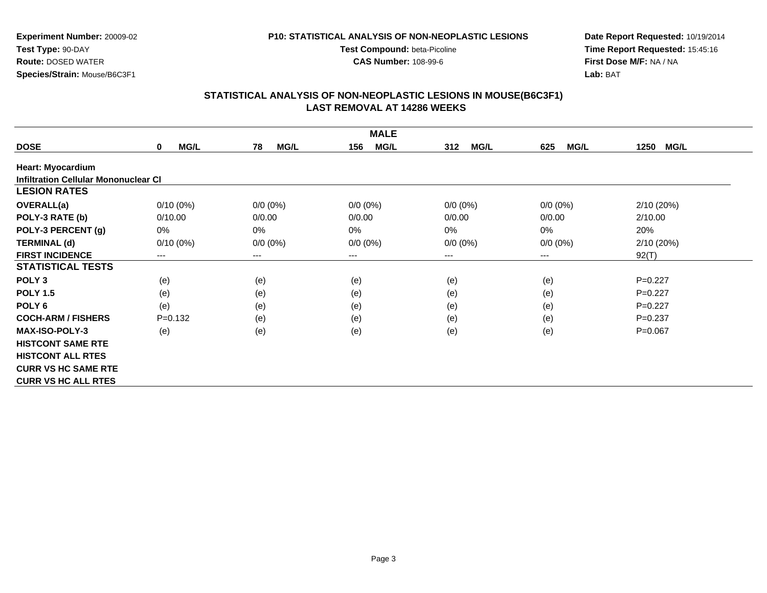**CAS Number:** 108-99-6

**Experiment Number:** 20009-02**Test Type:** 90-DAY **Route:** DOSED WATER**Species/Strain:** Mouse/B6C3F1

**Date Report Requested:** 10/19/2014 **Time Report Requested:** 15:45:16**First Dose M/F:** NA / NA**Lab:** BAT

|                                             |                            |                   | <b>MALE</b>        |                    |                    |                     |
|---------------------------------------------|----------------------------|-------------------|--------------------|--------------------|--------------------|---------------------|
| <b>DOSE</b>                                 | <b>MG/L</b><br>0           | <b>MG/L</b><br>78 | <b>MG/L</b><br>156 | <b>MG/L</b><br>312 | <b>MG/L</b><br>625 | <b>MG/L</b><br>1250 |
| <b>Heart: Myocardium</b>                    |                            |                   |                    |                    |                    |                     |
| <b>Infiltration Cellular Mononuclear CI</b> |                            |                   |                    |                    |                    |                     |
| <b>LESION RATES</b>                         |                            |                   |                    |                    |                    |                     |
| <b>OVERALL(a)</b>                           | $0/10(0\%)$                | $0/0 (0\%)$       | $0/0 (0\%)$        | $0/0 (0\%)$        | $0/0(0\%)$         | 2/10 (20%)          |
| POLY-3 RATE (b)                             | 0/10.00                    | 0/0.00            | 0/0.00             | 0/0.00             | 0/0.00             | 2/10.00             |
| POLY-3 PERCENT (g)                          | 0%                         | $0\%$             | 0%                 | 0%                 | 0%                 | 20%                 |
| <b>TERMINAL (d)</b>                         | $0/10(0\%)$                | $0/0 (0\%)$       | $0/0 (0\%)$        | $0/0 (0\%)$        | $0/0 (0\%)$        | 2/10(20%)           |
| <b>FIRST INCIDENCE</b>                      | $\qquad \qquad - \qquad -$ | $---$             | ---                | ---                | $---$              | 92(T)               |
| <b>STATISTICAL TESTS</b>                    |                            |                   |                    |                    |                    |                     |
| POLY <sub>3</sub>                           | (e)                        | (e)               | (e)                | (e)                | (e)                | $P=0.227$           |
| <b>POLY 1.5</b>                             | (e)                        | (e)               | (e)                | (e)                | (e)                | $P=0.227$           |
| POLY <sub>6</sub>                           | (e)                        | (e)               | (e)                | (e)                | (e)                | $P=0.227$           |
| <b>COCH-ARM / FISHERS</b>                   | $P = 0.132$                | (e)               | (e)                | (e)                | (e)                | $P=0.237$           |
| <b>MAX-ISO-POLY-3</b>                       | (e)                        | (e)               | (e)                | (e)                | (e)                | $P=0.067$           |
| <b>HISTCONT SAME RTE</b>                    |                            |                   |                    |                    |                    |                     |
| <b>HISTCONT ALL RTES</b>                    |                            |                   |                    |                    |                    |                     |
| <b>CURR VS HC SAME RTE</b>                  |                            |                   |                    |                    |                    |                     |
| <b>CURR VS HC ALL RTES</b>                  |                            |                   |                    |                    |                    |                     |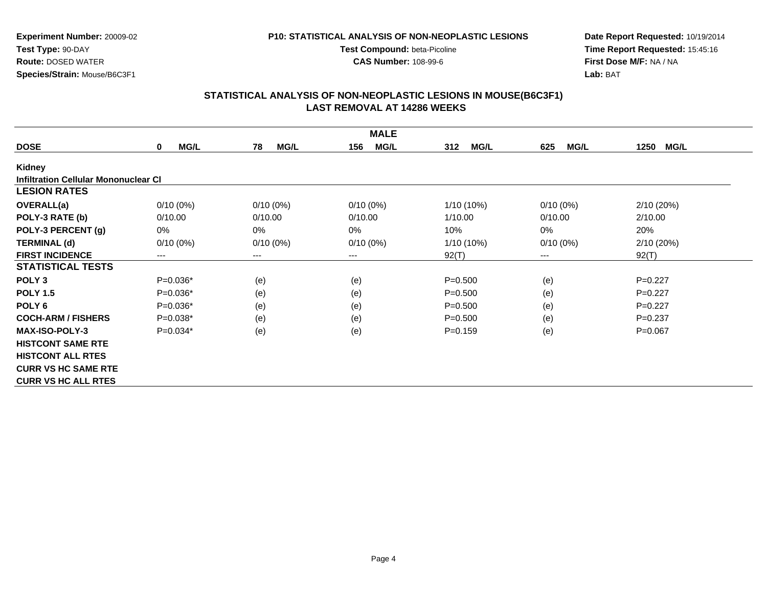**CAS Number:** 108-99-6

**Experiment Number:** 20009-02**Test Type:** 90-DAY **Route:** DOSED WATER**Species/Strain:** Mouse/B6C3F1

#### **Date Report Requested:** 10/19/2014 **Time Report Requested:** 15:45:16**First Dose M/F:** NA / NA**Lab:** BAT

|                                             |                            |                   | <b>MALE</b>        |                    |                    |                     |
|---------------------------------------------|----------------------------|-------------------|--------------------|--------------------|--------------------|---------------------|
| <b>DOSE</b>                                 | <b>MG/L</b><br>$\mathbf 0$ | <b>MG/L</b><br>78 | <b>MG/L</b><br>156 | <b>MG/L</b><br>312 | <b>MG/L</b><br>625 | 1250<br><b>MG/L</b> |
| <b>Kidney</b>                               |                            |                   |                    |                    |                    |                     |
| <b>Infiltration Cellular Mononuclear CI</b> |                            |                   |                    |                    |                    |                     |
| <b>LESION RATES</b>                         |                            |                   |                    |                    |                    |                     |
| <b>OVERALL(a)</b>                           | $0/10(0\%)$                | $0/10(0\%)$       | $0/10(0\%)$        | 1/10 (10%)         | $0/10(0\%)$        | 2/10(20%)           |
| POLY-3 RATE (b)                             | 0/10.00                    | 0/10.00           | 0/10.00            | 1/10.00            | 0/10.00            | 2/10.00             |
| POLY-3 PERCENT (g)                          | 0%                         | 0%                | 0%                 | 10%                | 0%                 | 20%                 |
| <b>TERMINAL (d)</b>                         | $0/10(0\%)$                | $0/10(0\%)$       | $0/10(0\%)$        | $1/10(10\%)$       | $0/10(0\%)$        | 2/10(20%)           |
| <b>FIRST INCIDENCE</b>                      | $\qquad \qquad - \qquad -$ | $---$             | ---                | 92(T)              | $---$              | 92(T)               |
| <b>STATISTICAL TESTS</b>                    |                            |                   |                    |                    |                    |                     |
| POLY <sub>3</sub>                           | $P=0.036*$                 | (e)               | (e)                | $P = 0.500$        | (e)                | $P=0.227$           |
| <b>POLY 1.5</b>                             | $P=0.036*$                 | (e)               | (e)                | $P = 0.500$        | (e)                | $P=0.227$           |
| POLY <sub>6</sub>                           | $P=0.036*$                 | (e)               | (e)                | $P = 0.500$        | (e)                | $P=0.227$           |
| <b>COCH-ARM / FISHERS</b>                   | $P=0.038*$                 | (e)               | (e)                | $P = 0.500$        | (e)                | $P=0.237$           |
| <b>MAX-ISO-POLY-3</b>                       | $P=0.034*$                 | (e)               | (e)                | $P = 0.159$        | (e)                | $P=0.067$           |
| <b>HISTCONT SAME RTE</b>                    |                            |                   |                    |                    |                    |                     |
| <b>HISTCONT ALL RTES</b>                    |                            |                   |                    |                    |                    |                     |
| <b>CURR VS HC SAME RTE</b>                  |                            |                   |                    |                    |                    |                     |
| <b>CURR VS HC ALL RTES</b>                  |                            |                   |                    |                    |                    |                     |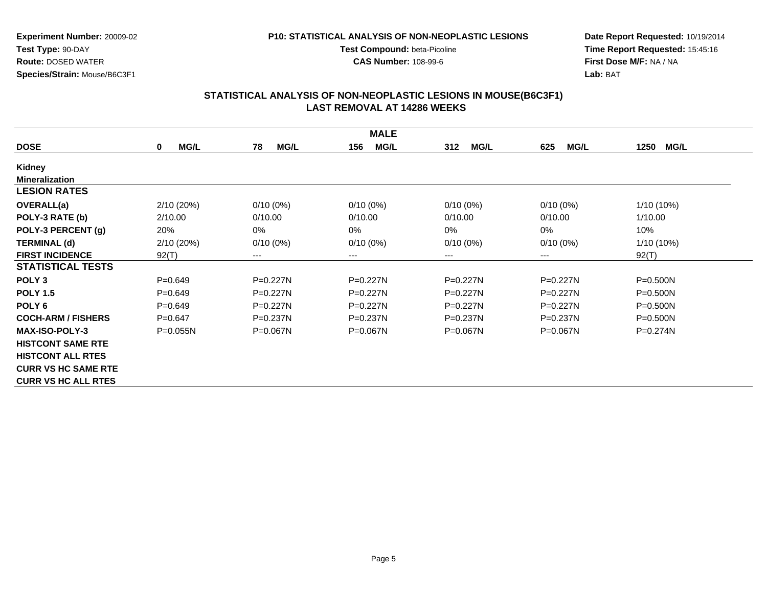**CAS Number:** 108-99-6

**Experiment Number:** 20009-02**Test Type:** 90-DAY **Route:** DOSED WATER**Species/Strain:** Mouse/B6C3F1

#### **Date Report Requested:** 10/19/2014 **Time Report Requested:** 15:45:16**First Dose M/F:** NA / NA**Lab:** BAT

|                            |                            |                            | <b>MALE</b>        |                    |                    |                     |
|----------------------------|----------------------------|----------------------------|--------------------|--------------------|--------------------|---------------------|
| <b>DOSE</b>                | <b>MG/L</b><br>$\mathbf 0$ | <b>MG/L</b><br>78          | <b>MG/L</b><br>156 | <b>MG/L</b><br>312 | <b>MG/L</b><br>625 | 1250<br><b>MG/L</b> |
| Kidney                     |                            |                            |                    |                    |                    |                     |
| <b>Mineralization</b>      |                            |                            |                    |                    |                    |                     |
| <b>LESION RATES</b>        |                            |                            |                    |                    |                    |                     |
| <b>OVERALL(a)</b>          | 2/10(20%)                  | $0/10(0\%)$                | $0/10(0\%)$        | $0/10(0\%)$        | $0/10(0\%)$        | $1/10(10\%)$        |
| POLY-3 RATE (b)            | 2/10.00                    | 0/10.00                    | 0/10.00            | 0/10.00            | 0/10.00            | 1/10.00             |
| POLY-3 PERCENT (g)         | 20%                        | $0\%$                      | $0\%$              | 0%                 | 0%                 | 10%                 |
| <b>TERMINAL (d)</b>        | 2/10(20%)                  | $0/10(0\%)$                | $0/10(0\%)$        | $0/10(0\%)$        | $0/10(0\%)$        | $1/10(10\%)$        |
| <b>FIRST INCIDENCE</b>     | 92(T)                      | $\qquad \qquad - \qquad -$ | ---                | ---                | ---                | 92(T)               |
| <b>STATISTICAL TESTS</b>   |                            |                            |                    |                    |                    |                     |
| POLY <sub>3</sub>          | $P = 0.649$                | $P = 0.227N$               | P=0.227N           | $P = 0.227N$       | $P = 0.227N$       | $P = 0.500N$        |
| <b>POLY 1.5</b>            | $P = 0.649$                | $P = 0.227N$               | P=0.227N           | P=0.227N           | $P = 0.227N$       | $P = 0.500N$        |
| POLY <sub>6</sub>          | $P = 0.649$                | $P = 0.227N$               | $P=0.227N$         | $P = 0.227N$       | P=0.227N           | $P = 0.500N$        |
| <b>COCH-ARM / FISHERS</b>  | $P=0.647$                  | $P = 0.237N$               | $P=0.237N$         | $P = 0.237N$       | $P = 0.237N$       | $P = 0.500N$        |
| <b>MAX-ISO-POLY-3</b>      | $P = 0.055N$               | $P = 0.067N$               | $P = 0.067N$       | P=0.067N           | $P = 0.067N$       | $P = 0.274N$        |
| <b>HISTCONT SAME RTE</b>   |                            |                            |                    |                    |                    |                     |
| <b>HISTCONT ALL RTES</b>   |                            |                            |                    |                    |                    |                     |
| <b>CURR VS HC SAME RTE</b> |                            |                            |                    |                    |                    |                     |
| <b>CURR VS HC ALL RTES</b> |                            |                            |                    |                    |                    |                     |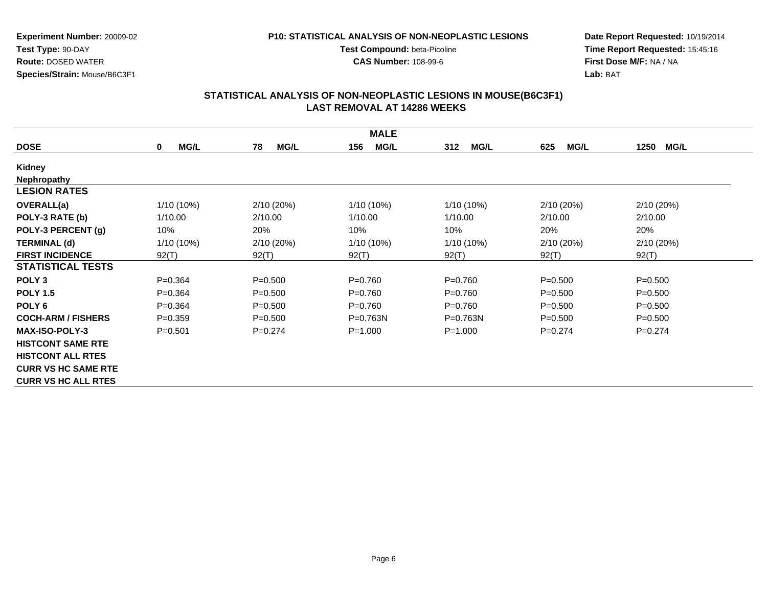**CAS Number:** 108-99-6

**Experiment Number:** 20009-02**Test Type:** 90-DAY **Route:** DOSED WATER**Species/Strain:** Mouse/B6C3F1

### **Date Report Requested:** 10/19/2014 **Time Report Requested:** 15:45:16**First Dose M/F:** NA / NA**Lab:** BAT

|                            |                            |                   | <b>MALE</b>        |                    |                    |                     |
|----------------------------|----------------------------|-------------------|--------------------|--------------------|--------------------|---------------------|
| <b>DOSE</b>                | <b>MG/L</b><br>$\mathbf 0$ | <b>MG/L</b><br>78 | <b>MG/L</b><br>156 | 312<br><b>MG/L</b> | <b>MG/L</b><br>625 | <b>MG/L</b><br>1250 |
| Kidney                     |                            |                   |                    |                    |                    |                     |
| <b>Nephropathy</b>         |                            |                   |                    |                    |                    |                     |
| <b>LESION RATES</b>        |                            |                   |                    |                    |                    |                     |
| <b>OVERALL(a)</b>          | 1/10 (10%)                 | 2/10(20%)         | $1/10(10\%)$       | $1/10(10\%)$       | 2/10(20%)          | 2/10(20%)           |
| POLY-3 RATE (b)            | 1/10.00                    | 2/10.00           | 1/10.00            | 1/10.00            | 2/10.00            | 2/10.00             |
| POLY-3 PERCENT (g)         | 10%                        | 20%               | 10%                | 10%                | 20%                | 20%                 |
| <b>TERMINAL (d)</b>        | 1/10 (10%)                 | 2/10(20%)         | $1/10(10\%)$       | $1/10(10\%)$       | 2/10 (20%)         | 2/10(20%)           |
| <b>FIRST INCIDENCE</b>     | 92(T)                      | 92(T)             | 92(T)              | 92(T)              | 92(T)              | 92(T)               |
| <b>STATISTICAL TESTS</b>   |                            |                   |                    |                    |                    |                     |
| POLY <sub>3</sub>          | $P=0.364$                  | $P = 0.500$       | $P = 0.760$        | $P = 0.760$        | $P = 0.500$        | $P = 0.500$         |
| <b>POLY 1.5</b>            | $P=0.364$                  | $P = 0.500$       | $P = 0.760$        | $P = 0.760$        | $P = 0.500$        | $P = 0.500$         |
| POLY <sub>6</sub>          | $P=0.364$                  | $P = 0.500$       | $P = 0.760$        | $P=0.760$          | $P = 0.500$        | $P = 0.500$         |
| <b>COCH-ARM / FISHERS</b>  | $P=0.359$                  | $P = 0.500$       | $P = 0.763N$       | $P = 0.763N$       | $P = 0.500$        | $P = 0.500$         |
| <b>MAX-ISO-POLY-3</b>      | $P = 0.501$                | $P=0.274$         | $P = 1.000$        | $P = 1.000$        | $P=0.274$          | $P=0.274$           |
| <b>HISTCONT SAME RTE</b>   |                            |                   |                    |                    |                    |                     |
| <b>HISTCONT ALL RTES</b>   |                            |                   |                    |                    |                    |                     |
| <b>CURR VS HC SAME RTE</b> |                            |                   |                    |                    |                    |                     |
| <b>CURR VS HC ALL RTES</b> |                            |                   |                    |                    |                    |                     |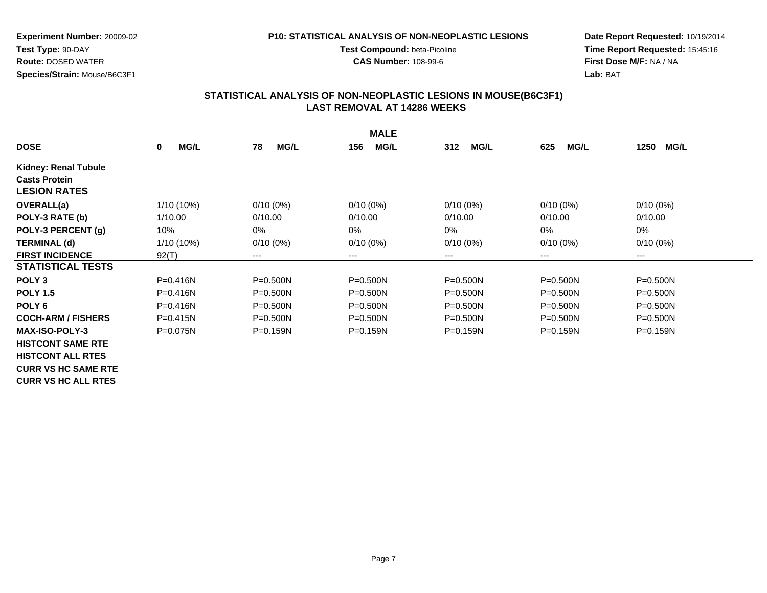**Test Compound:** beta-Picoline**CAS Number:** 108-99-6

**Experiment Number:** 20009-02**Test Type:** 90-DAY **Route:** DOSED WATER**Species/Strain:** Mouse/B6C3F1

#### **Date Report Requested:** 10/19/2014 **Time Report Requested:** 15:45:16**First Dose M/F:** NA / NA**Lab:** BAT

|                             |                            |                            | <b>MALE</b>        |                    |                    |                     |
|-----------------------------|----------------------------|----------------------------|--------------------|--------------------|--------------------|---------------------|
| <b>DOSE</b>                 | <b>MG/L</b><br>$\mathbf 0$ | <b>MG/L</b><br>78          | <b>MG/L</b><br>156 | 312<br><b>MG/L</b> | <b>MG/L</b><br>625 | <b>MG/L</b><br>1250 |
| <b>Kidney: Renal Tubule</b> |                            |                            |                    |                    |                    |                     |
| <b>Casts Protein</b>        |                            |                            |                    |                    |                    |                     |
| <b>LESION RATES</b>         |                            |                            |                    |                    |                    |                     |
| OVERALL(a)                  | 1/10 (10%)                 | $0/10(0\%)$                | $0/10(0\%)$        | $0/10(0\%)$        | $0/10(0\%)$        | $0/10(0\%)$         |
| POLY-3 RATE (b)             | 1/10.00                    | 0/10.00                    | 0/10.00            | 0/10.00            | 0/10.00            | 0/10.00             |
| POLY-3 PERCENT (g)          | 10%                        | $0\%$                      | $0\%$              | $0\%$              | 0%                 | 0%                  |
| <b>TERMINAL (d)</b>         | $1/10(10\%)$               | $0/10(0\%)$                | $0/10(0\%)$        | $0/10(0\%)$        | $0/10(0\%)$        | $0/10(0\%)$         |
| <b>FIRST INCIDENCE</b>      | 92(T)                      | $\qquad \qquad - \qquad -$ | $---$              | ---                | ---                | $---$               |
| <b>STATISTICAL TESTS</b>    |                            |                            |                    |                    |                    |                     |
| POLY <sub>3</sub>           | $P = 0.416N$               | $P = 0.500N$               | P=0.500N           | P=0.500N           | $P = 0.500N$       | $P = 0.500N$        |
| <b>POLY 1.5</b>             | $P = 0.416N$               | $P = 0.500N$               | $P = 0.500N$       | $P = 0.500N$       | P=0.500N           | $P = 0.500N$        |
| POLY 6                      | $P = 0.416N$               | $P = 0.500N$               | $P = 0.500N$       | $P = 0.500N$       | $P = 0.500N$       | $P = 0.500N$        |
| <b>COCH-ARM / FISHERS</b>   | $P = 0.415N$               | $P = 0.500N$               | $P = 0.500N$       | $P = 0.500N$       | $P = 0.500N$       | $P = 0.500N$        |
| <b>MAX-ISO-POLY-3</b>       | $P = 0.075N$               | $P = 0.159N$               | $P = 0.159N$       | $P = 0.159N$       | $P = 0.159N$       | $P = 0.159N$        |
| <b>HISTCONT SAME RTE</b>    |                            |                            |                    |                    |                    |                     |
| <b>HISTCONT ALL RTES</b>    |                            |                            |                    |                    |                    |                     |
| <b>CURR VS HC SAME RTE</b>  |                            |                            |                    |                    |                    |                     |
| <b>CURR VS HC ALL RTES</b>  |                            |                            |                    |                    |                    |                     |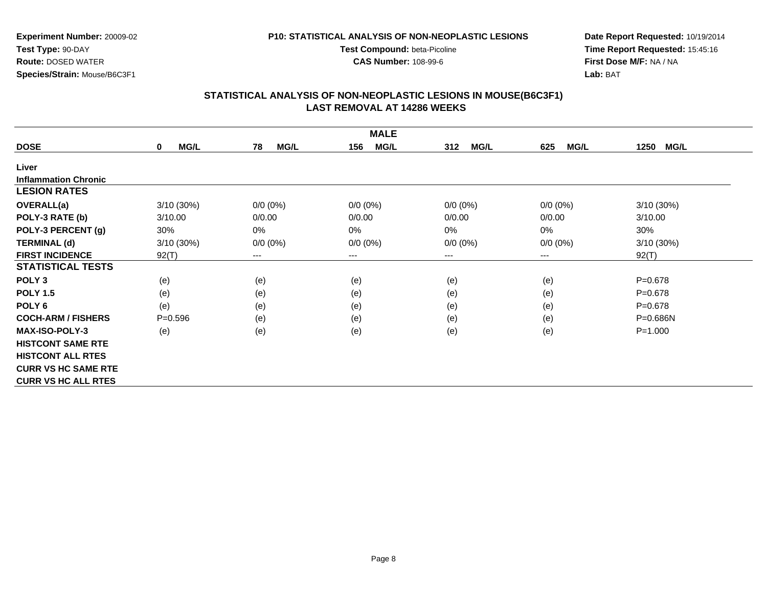**CAS Number:** 108-99-6

**Experiment Number:** 20009-02**Test Type:** 90-DAY **Route:** DOSED WATER**Species/Strain:** Mouse/B6C3F1

#### **Date Report Requested:** 10/19/2014**Time Report Requested:** 15:45:16**First Dose M/F:** NA / NA**Lab:** BAT

| <b>MALE</b>                 |                            |                   |             |                    |                    |                     |  |  |
|-----------------------------|----------------------------|-------------------|-------------|--------------------|--------------------|---------------------|--|--|
| <b>DOSE</b>                 | <b>MG/L</b><br>$\mathbf 0$ | 78<br><b>MG/L</b> | MG/L<br>156 | 312<br><b>MG/L</b> | <b>MG/L</b><br>625 | 1250<br><b>MG/L</b> |  |  |
| Liver                       |                            |                   |             |                    |                    |                     |  |  |
| <b>Inflammation Chronic</b> |                            |                   |             |                    |                    |                     |  |  |
| <b>LESION RATES</b>         |                            |                   |             |                    |                    |                     |  |  |
| <b>OVERALL(a)</b>           | 3/10 (30%)                 | $0/0 (0\%)$       | $0/0 (0\%)$ | $0/0 (0\%)$        | $0/0 (0\%)$        | $3/10(30\%)$        |  |  |
| POLY-3 RATE (b)             | 3/10.00                    | 0/0.00            | 0/0.00      | 0/0.00             | 0/0.00             | 3/10.00             |  |  |
| POLY-3 PERCENT (g)          | 30%                        | 0%                | 0%          | 0%                 | 0%                 | 30%                 |  |  |
| <b>TERMINAL (d)</b>         | 3/10 (30%)                 | $0/0 (0\%)$       | $0/0 (0\%)$ | $0/0 (0\%)$        | $0/0 (0\%)$        | $3/10(30\%)$        |  |  |
| <b>FIRST INCIDENCE</b>      | 92(T)                      | $--$              | $--$        | ---                | ---                | 92(T)               |  |  |
| <b>STATISTICAL TESTS</b>    |                            |                   |             |                    |                    |                     |  |  |
| POLY <sub>3</sub>           | (e)                        | (e)               | (e)         | (e)                | (e)                | $P = 0.678$         |  |  |
| <b>POLY 1.5</b>             | (e)                        | (e)               | (e)         | (e)                | (e)                | $P = 0.678$         |  |  |
| POLY <sub>6</sub>           | (e)                        | (e)               | (e)         | (e)                | (e)                | $P = 0.678$         |  |  |
| <b>COCH-ARM / FISHERS</b>   | $P = 0.596$                | (e)               | (e)         | (e)                | (e)                | $P = 0.686N$        |  |  |
| <b>MAX-ISO-POLY-3</b>       | (e)                        | (e)               | (e)         | (e)                | (e)                | $P = 1.000$         |  |  |
| <b>HISTCONT SAME RTE</b>    |                            |                   |             |                    |                    |                     |  |  |
| <b>HISTCONT ALL RTES</b>    |                            |                   |             |                    |                    |                     |  |  |
| <b>CURR VS HC SAME RTE</b>  |                            |                   |             |                    |                    |                     |  |  |
| <b>CURR VS HC ALL RTES</b>  |                            |                   |             |                    |                    |                     |  |  |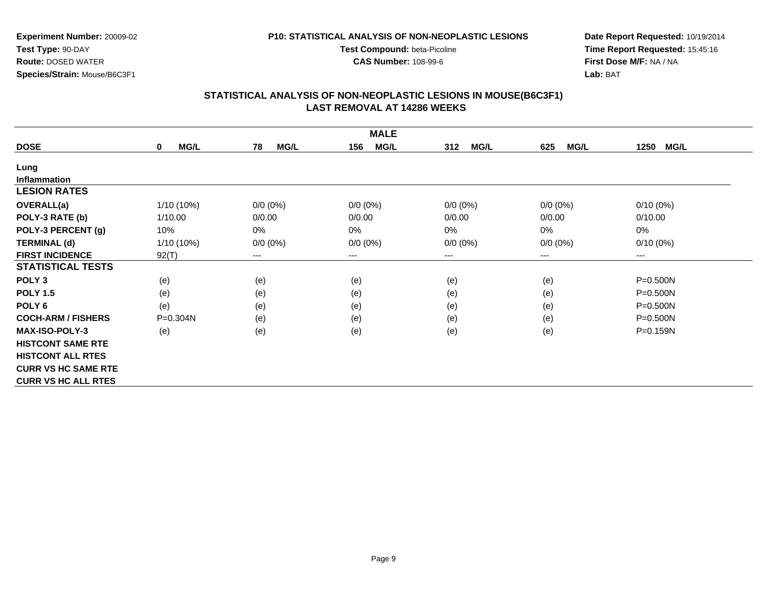**CAS Number:** 108-99-6

**Experiment Number:** 20009-02**Test Type:** 90-DAY **Route:** DOSED WATER**Species/Strain:** Mouse/B6C3F1

**Date Report Requested:** 10/19/2014 **Time Report Requested:** 15:45:16**First Dose M/F:** NA / NA**Lab:** BAT

## **STATISTICAL ANALYSIS OF NON-NEOPLASTIC LESIONS IN MOUSE(B6C3F1) LAST REMOVAL AT 14286 WEEKS**

| <b>MALE</b>                |                     |                   |                        |                    |                    |                     |  |  |
|----------------------------|---------------------|-------------------|------------------------|--------------------|--------------------|---------------------|--|--|
| <b>DOSE</b>                | MG/L<br>$\mathbf 0$ | <b>MG/L</b><br>78 | MG/L<br>156            | 312<br><b>MG/L</b> | <b>MG/L</b><br>625 | 1250<br><b>MG/L</b> |  |  |
| Lung                       |                     |                   |                        |                    |                    |                     |  |  |
| <b>Inflammation</b>        |                     |                   |                        |                    |                    |                     |  |  |
| <b>LESION RATES</b>        |                     |                   |                        |                    |                    |                     |  |  |
| <b>OVERALL(a)</b>          | $1/10(10\%)$        | $0/0 (0\%)$       | $0/0 (0\%)$            | $0/0 (0\%)$        | $0/0 (0\%)$        | $0/10(0\%)$         |  |  |
| POLY-3 RATE (b)            | 1/10.00             | 0/0.00            | 0/0.00                 | 0/0.00             | 0/0.00             | 0/10.00             |  |  |
| POLY-3 PERCENT (g)         | 10%                 | 0%                | 0%                     | 0%                 | 0%                 | 0%                  |  |  |
| <b>TERMINAL (d)</b>        | 1/10 (10%)          | $0/0 (0\%)$       | $0/0 (0\%)$            | $0/0 (0\%)$        | $0/0 (0\%)$        | $0/10(0\%)$         |  |  |
| <b>FIRST INCIDENCE</b>     | 92(T)               | ---               | $\qquad \qquad \cdots$ | ---                | ---                | ---                 |  |  |
| <b>STATISTICAL TESTS</b>   |                     |                   |                        |                    |                    |                     |  |  |
| POLY <sub>3</sub>          | (e)                 | (e)               | (e)                    | (e)                | (e)                | $P = 0.500N$        |  |  |
| <b>POLY 1.5</b>            | (e)                 | (e)               | (e)                    | (e)                | (e)                | $P = 0.500N$        |  |  |
| POLY <sub>6</sub>          | (e)                 | (e)               | (e)                    | (e)                | (e)                | $P = 0.500N$        |  |  |
| <b>COCH-ARM / FISHERS</b>  | $P = 0.304N$        | (e)               | (e)                    | (e)                | (e)                | $P = 0.500N$        |  |  |
| <b>MAX-ISO-POLY-3</b>      | (e)                 | (e)               | (e)                    | (e)                | (e)                | P=0.159N            |  |  |
| <b>HISTCONT SAME RTE</b>   |                     |                   |                        |                    |                    |                     |  |  |
| <b>HISTCONT ALL RTES</b>   |                     |                   |                        |                    |                    |                     |  |  |
| <b>CURR VS HC SAME RTE</b> |                     |                   |                        |                    |                    |                     |  |  |
| <b>CURR VS HC ALL RTES</b> |                     |                   |                        |                    |                    |                     |  |  |

Page 9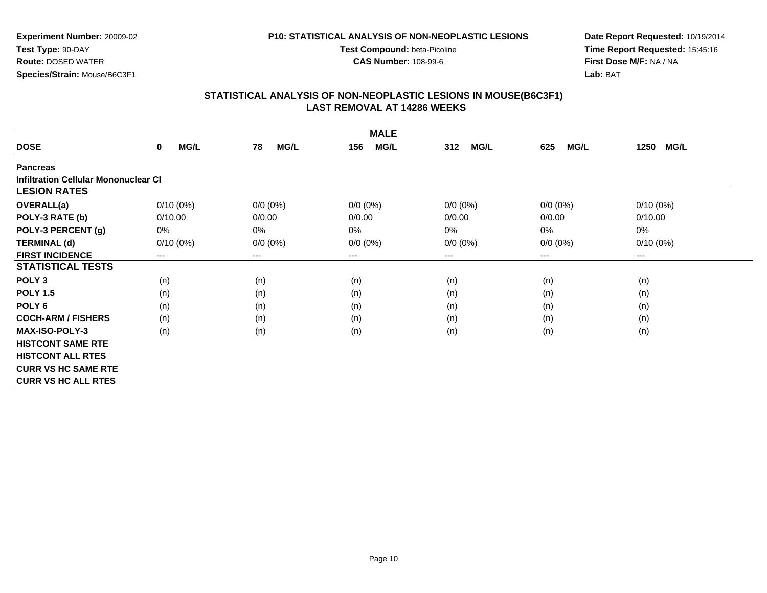**CAS Number:** 108-99-6

**Experiment Number:** 20009-02**Test Type:** 90-DAY **Route:** DOSED WATER**Species/Strain:** Mouse/B6C3F1

**Date Report Requested:** 10/19/2014**Time Report Requested:** 15:45:16**First Dose M/F:** NA / NA**Lab:** BAT

|                                             | <b>MALE</b>                |                            |                    |                    |                    |                     |  |  |  |  |
|---------------------------------------------|----------------------------|----------------------------|--------------------|--------------------|--------------------|---------------------|--|--|--|--|
| <b>DOSE</b>                                 | <b>MG/L</b><br>$\mathbf 0$ | 78<br><b>MG/L</b>          | <b>MG/L</b><br>156 | <b>MG/L</b><br>312 | <b>MG/L</b><br>625 | 1250<br><b>MG/L</b> |  |  |  |  |
| <b>Pancreas</b>                             |                            |                            |                    |                    |                    |                     |  |  |  |  |
| <b>Infiltration Cellular Mononuclear CI</b> |                            |                            |                    |                    |                    |                     |  |  |  |  |
| <b>LESION RATES</b>                         |                            |                            |                    |                    |                    |                     |  |  |  |  |
| OVERALL(a)                                  | $0/10(0\%)$                | $0/0 (0\%)$                | $0/0 (0\%)$        | $0/0 (0\%)$        | $0/0 (0\%)$        | $0/10(0\%)$         |  |  |  |  |
| POLY-3 RATE (b)                             | 0/10.00                    | 0/0.00                     | 0/0.00             | 0/0.00             | 0/0.00             | 0/10.00             |  |  |  |  |
| POLY-3 PERCENT (g)                          | 0%                         | 0%                         | 0%                 | 0%                 | 0%                 | 0%                  |  |  |  |  |
| <b>TERMINAL (d)</b>                         | $0/10(0\%)$                | $0/0 (0\%)$                | $0/0 (0\%)$        | $0/0 (0\%)$        | $0/0 (0\%)$        | $0/10(0\%)$         |  |  |  |  |
| <b>FIRST INCIDENCE</b>                      | $---$                      | $\qquad \qquad - \qquad -$ | $--$               | ---                | ---                | $--$                |  |  |  |  |
| <b>STATISTICAL TESTS</b>                    |                            |                            |                    |                    |                    |                     |  |  |  |  |
| POLY <sub>3</sub>                           | (n)                        | (n)                        | (n)                | (n)                | (n)                | (n)                 |  |  |  |  |
| <b>POLY 1.5</b>                             | (n)                        | (n)                        | (n)                | (n)                | (n)                | (n)                 |  |  |  |  |
| POLY <sub>6</sub>                           | (n)                        | (n)                        | (n)                | (n)                | (n)                | (n)                 |  |  |  |  |
| <b>COCH-ARM / FISHERS</b>                   | (n)                        | (n)                        | (n)                | (n)                | (n)                | (n)                 |  |  |  |  |
| <b>MAX-ISO-POLY-3</b>                       | (n)                        | (n)                        | (n)                | (n)                | (n)                | (n)                 |  |  |  |  |
| <b>HISTCONT SAME RTE</b>                    |                            |                            |                    |                    |                    |                     |  |  |  |  |
| <b>HISTCONT ALL RTES</b>                    |                            |                            |                    |                    |                    |                     |  |  |  |  |
| <b>CURR VS HC SAME RTE</b>                  |                            |                            |                    |                    |                    |                     |  |  |  |  |
| <b>CURR VS HC ALL RTES</b>                  |                            |                            |                    |                    |                    |                     |  |  |  |  |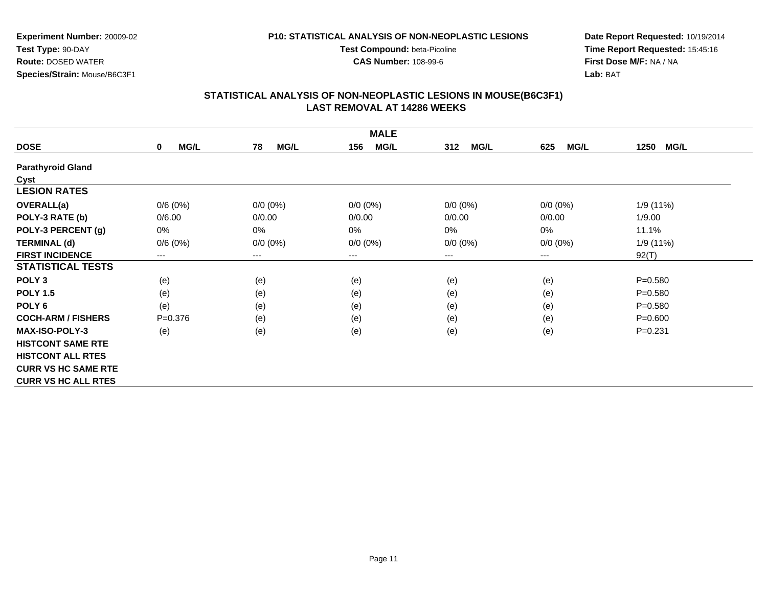**CAS Number:** 108-99-6

**Experiment Number:** 20009-02**Test Type:** 90-DAY **Route:** DOSED WATER**Species/Strain:** Mouse/B6C3F1

**Date Report Requested:** 10/19/2014**Time Report Requested:** 15:45:16**First Dose M/F:** NA / NA**Lab:** BAT

| <b>MALE</b>                |                            |                   |             |                    |                    |                     |  |  |
|----------------------------|----------------------------|-------------------|-------------|--------------------|--------------------|---------------------|--|--|
| <b>DOSE</b>                | <b>MG/L</b><br>$\mathbf 0$ | <b>MG/L</b><br>78 | MG/L<br>156 | <b>MG/L</b><br>312 | <b>MG/L</b><br>625 | <b>MG/L</b><br>1250 |  |  |
| <b>Parathyroid Gland</b>   |                            |                   |             |                    |                    |                     |  |  |
| Cyst                       |                            |                   |             |                    |                    |                     |  |  |
| <b>LESION RATES</b>        |                            |                   |             |                    |                    |                     |  |  |
| <b>OVERALL(a)</b>          | 0/6(0%)                    | $0/0 (0\%)$       | $0/0 (0\%)$ | $0/0 (0\%)$        | $0/0 (0\%)$        | 1/9 (11%)           |  |  |
| POLY-3 RATE (b)            | 0/6.00                     | 0/0.00            | 0/0.00      | 0/0.00             | 0/0.00             | 1/9.00              |  |  |
| POLY-3 PERCENT (g)         | 0%                         | 0%                | 0%          | 0%                 | 0%                 | 11.1%               |  |  |
| <b>TERMINAL (d)</b>        | 0/6(0%)                    | $0/0 (0\%)$       | $0/0 (0\%)$ | $0/0 (0\%)$        | $0/0 (0\%)$        | 1/9 (11%)           |  |  |
| <b>FIRST INCIDENCE</b>     | ---                        | ---               | $--$        | ---                | ---                | 92(T)               |  |  |
| <b>STATISTICAL TESTS</b>   |                            |                   |             |                    |                    |                     |  |  |
| POLY <sub>3</sub>          | (e)                        | (e)               | (e)         | (e)                | (e)                | $P = 0.580$         |  |  |
| <b>POLY 1.5</b>            | (e)                        | (e)               | (e)         | (e)                | (e)                | $P = 0.580$         |  |  |
| POLY 6                     | (e)                        | (e)               | (e)         | (e)                | (e)                | $P = 0.580$         |  |  |
| <b>COCH-ARM / FISHERS</b>  | $P = 0.376$                | (e)               | (e)         | (e)                | (e)                | $P = 0.600$         |  |  |
| <b>MAX-ISO-POLY-3</b>      | (e)                        | (e)               | (e)         | (e)                | (e)                | $P = 0.231$         |  |  |
| <b>HISTCONT SAME RTE</b>   |                            |                   |             |                    |                    |                     |  |  |
| <b>HISTCONT ALL RTES</b>   |                            |                   |             |                    |                    |                     |  |  |
| <b>CURR VS HC SAME RTE</b> |                            |                   |             |                    |                    |                     |  |  |
| <b>CURR VS HC ALL RTES</b> |                            |                   |             |                    |                    |                     |  |  |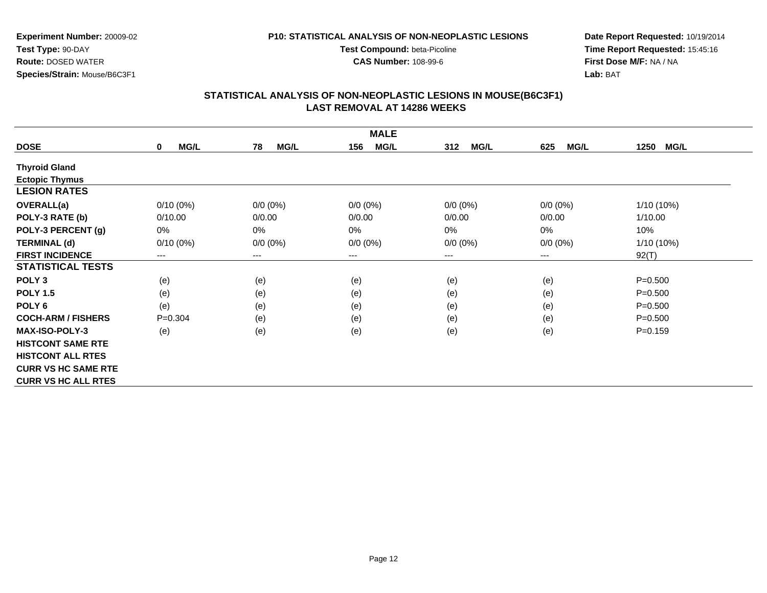**CAS Number:** 108-99-6

**Experiment Number:** 20009-02**Test Type:** 90-DAY **Route:** DOSED WATER**Species/Strain:** Mouse/B6C3F1

**Date Report Requested:** 10/19/2014**Time Report Requested:** 15:45:16**First Dose M/F:** NA / NA**Lab:** BAT

## **STATISTICAL ANALYSIS OF NON-NEOPLASTIC LESIONS IN MOUSE(B6C3F1) LAST REMOVAL AT 14286 WEEKS**

| <b>MALE</b>                |                     |                   |                        |                    |                    |                     |  |  |
|----------------------------|---------------------|-------------------|------------------------|--------------------|--------------------|---------------------|--|--|
| <b>DOSE</b>                | MG/L<br>$\mathbf 0$ | <b>MG/L</b><br>78 | MG/L<br>156            | 312<br><b>MG/L</b> | <b>MG/L</b><br>625 | 1250<br><b>MG/L</b> |  |  |
| <b>Thyroid Gland</b>       |                     |                   |                        |                    |                    |                     |  |  |
| <b>Ectopic Thymus</b>      |                     |                   |                        |                    |                    |                     |  |  |
| <b>LESION RATES</b>        |                     |                   |                        |                    |                    |                     |  |  |
| <b>OVERALL(a)</b>          | $0/10(0\%)$         | $0/0 (0\%)$       | $0/0 (0\%)$            | $0/0 (0\%)$        | $0/0 (0\%)$        | $1/10(10\%)$        |  |  |
| POLY-3 RATE (b)            | 0/10.00             | 0/0.00            | 0/0.00                 | 0/0.00             | 0/0.00             | 1/10.00             |  |  |
| POLY-3 PERCENT (g)         | 0%                  | 0%                | 0%                     | 0%                 | 0%                 | 10%                 |  |  |
| <b>TERMINAL (d)</b>        | $0/10(0\%)$         | $0/0 (0\%)$       | $0/0 (0\%)$            | $0/0 (0\%)$        | $0/0 (0\%)$        | $1/10(10\%)$        |  |  |
| <b>FIRST INCIDENCE</b>     | ---                 | ---               | $\qquad \qquad \cdots$ | ---                | ---                | 92(T)               |  |  |
| <b>STATISTICAL TESTS</b>   |                     |                   |                        |                    |                    |                     |  |  |
| POLY <sub>3</sub>          | (e)                 | (e)               | (e)                    | (e)                | (e)                | $P = 0.500$         |  |  |
| <b>POLY 1.5</b>            | (e)                 | (e)               | (e)                    | (e)                | (e)                | $P = 0.500$         |  |  |
| POLY <sub>6</sub>          | (e)                 | (e)               | (e)                    | (e)                | (e)                | $P = 0.500$         |  |  |
| <b>COCH-ARM / FISHERS</b>  | $P=0.304$           | (e)               | (e)                    | (e)                | (e)                | $P = 0.500$         |  |  |
| <b>MAX-ISO-POLY-3</b>      | (e)                 | (e)               | (e)                    | (e)                | (e)                | $P = 0.159$         |  |  |
| <b>HISTCONT SAME RTE</b>   |                     |                   |                        |                    |                    |                     |  |  |
| <b>HISTCONT ALL RTES</b>   |                     |                   |                        |                    |                    |                     |  |  |
| <b>CURR VS HC SAME RTE</b> |                     |                   |                        |                    |                    |                     |  |  |
| <b>CURR VS HC ALL RTES</b> |                     |                   |                        |                    |                    |                     |  |  |

Page 12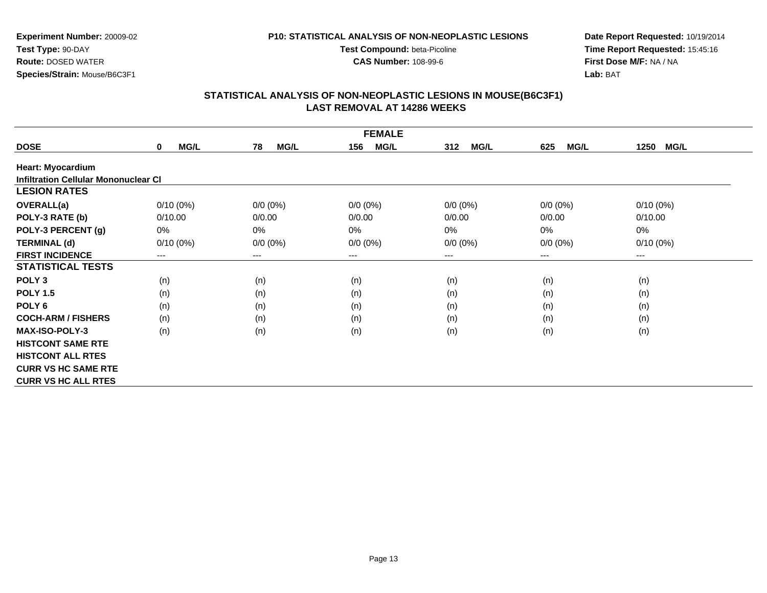#### **P10: STATISTICAL ANALYSIS OF NON-NEOPLASTIC LESIONS**

**Test Compound:** beta-Picoline**CAS Number:** 108-99-6

**Date Report Requested:** 10/19/2014**Time Report Requested:** 15:45:16**First Dose M/F:** NA / NA**Lab:** BAT

|                                             |                            |                        | <b>FEMALE</b>      |                    |                    |                     |
|---------------------------------------------|----------------------------|------------------------|--------------------|--------------------|--------------------|---------------------|
| <b>DOSE</b>                                 | <b>MG/L</b><br>$\mathbf 0$ | <b>MG/L</b><br>78      | 156<br><b>MG/L</b> | <b>MG/L</b><br>312 | <b>MG/L</b><br>625 | <b>MG/L</b><br>1250 |
| <b>Heart: Myocardium</b>                    |                            |                        |                    |                    |                    |                     |
| <b>Infiltration Cellular Mononuclear CI</b> |                            |                        |                    |                    |                    |                     |
| <b>LESION RATES</b>                         |                            |                        |                    |                    |                    |                     |
| OVERALL(a)                                  | $0/10(0\%)$                | $0/0 (0\%)$            | $0/0 (0\%)$        | $0/0 (0\%)$        | $0/0(0\%)$         | $0/10(0\%)$         |
| POLY-3 RATE (b)                             | 0/10.00                    | 0/0.00                 | 0/0.00             | 0/0.00             | 0/0.00             | 0/10.00             |
| POLY-3 PERCENT (g)                          | 0%                         | 0%                     | $0\%$              | 0%                 | 0%                 | 0%                  |
| <b>TERMINAL (d)</b>                         | $0/10(0\%)$                | $0/0 (0\%)$            | $0/0 (0\%)$        | $0/0 (0\%)$        | $0/0 (0\%)$        | $0/10(0\%)$         |
| <b>FIRST INCIDENCE</b>                      | $---$                      | $\qquad \qquad \cdots$ | ---                | ---                | $---$              | ---                 |
| <b>STATISTICAL TESTS</b>                    |                            |                        |                    |                    |                    |                     |
| POLY <sub>3</sub>                           | (n)                        | (n)                    | (n)                | (n)                | (n)                | (n)                 |
| <b>POLY 1.5</b>                             | (n)                        | (n)                    | (n)                | (n)                | (n)                | (n)                 |
| POLY <sub>6</sub>                           | (n)                        | (n)                    | (n)                | (n)                | (n)                | (n)                 |
| <b>COCH-ARM / FISHERS</b>                   | (n)                        | (n)                    | (n)                | (n)                | (n)                | (n)                 |
| <b>MAX-ISO-POLY-3</b>                       | (n)                        | (n)                    | (n)                | (n)                | (n)                | (n)                 |
| <b>HISTCONT SAME RTE</b>                    |                            |                        |                    |                    |                    |                     |
| <b>HISTCONT ALL RTES</b>                    |                            |                        |                    |                    |                    |                     |
| <b>CURR VS HC SAME RTE</b>                  |                            |                        |                    |                    |                    |                     |
| <b>CURR VS HC ALL RTES</b>                  |                            |                        |                    |                    |                    |                     |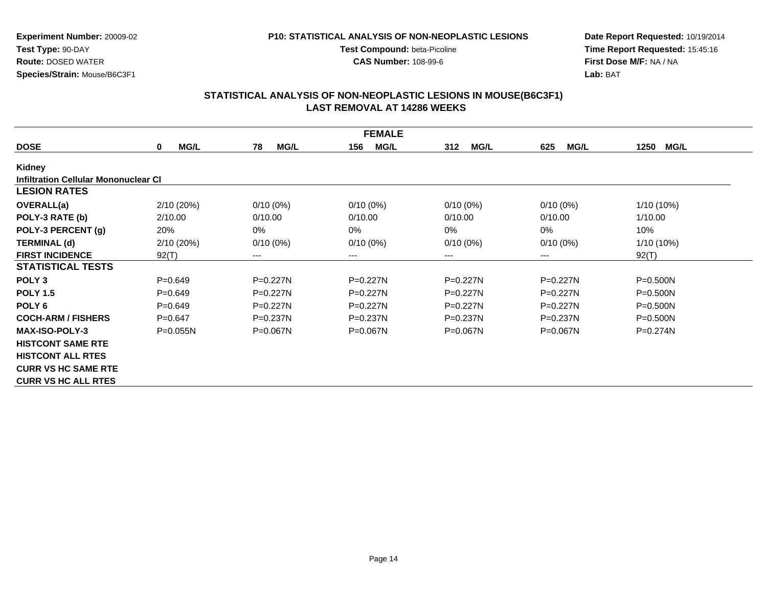#### **P10: STATISTICAL ANALYSIS OF NON-NEOPLASTIC LESIONS**

**Test Compound:** beta-Picoline**CAS Number:** 108-99-6

**Date Report Requested:** 10/19/2014**Time Report Requested:** 15:45:16**First Dose M/F:** NA / NA**Lab:** BAT

|                                      |              |                   | <b>FEMALE</b>      |                    |                    |                     |
|--------------------------------------|--------------|-------------------|--------------------|--------------------|--------------------|---------------------|
| <b>DOSE</b>                          | MG/L<br>0    | <b>MG/L</b><br>78 | <b>MG/L</b><br>156 | <b>MG/L</b><br>312 | <b>MG/L</b><br>625 | 1250<br><b>MG/L</b> |
| Kidney                               |              |                   |                    |                    |                    |                     |
| Infiltration Cellular Mononuclear CI |              |                   |                    |                    |                    |                     |
| <b>LESION RATES</b>                  |              |                   |                    |                    |                    |                     |
| <b>OVERALL(a)</b>                    | 2/10(20%)    | $0/10(0\%)$       | $0/10(0\%)$        | $0/10(0\%)$        | $0/10(0\%)$        | 1/10 (10%)          |
| POLY-3 RATE (b)                      | 2/10.00      | 0/10.00           | 0/10.00            | 0/10.00            | 0/10.00            | 1/10.00             |
| POLY-3 PERCENT (g)                   | 20%          | 0%                | 0%                 | 0%                 | $0\%$              | 10%                 |
| <b>TERMINAL (d)</b>                  | 2/10(20%)    | $0/10(0\%)$       | $0/10(0\%)$        | $0/10(0\%)$        | $0/10(0\%)$        | 1/10 (10%)          |
| <b>FIRST INCIDENCE</b>               | 92(T)        | ---               | ---                | ---                | $--$               | 92(T)               |
| <b>STATISTICAL TESTS</b>             |              |                   |                    |                    |                    |                     |
| POLY <sub>3</sub>                    | $P=0.649$    | $P=0.227N$        | $P=0.227N$         | $P=0.227N$         | $P = 0.227N$       | $P = 0.500N$        |
| <b>POLY 1.5</b>                      | $P=0.649$    | $P=0.227N$        | P=0.227N           | P=0.227N           | $P = 0.227N$       | $P = 0.500N$        |
| POLY <sub>6</sub>                    | $P=0.649$    | P=0.227N          | P=0.227N           | $P=0.227N$         | $P = 0.227N$       | $P = 0.500N$        |
| <b>COCH-ARM / FISHERS</b>            | $P=0.647$    | $P = 0.237N$      | $P = 0.237N$       | $P=0.237N$         | $P = 0.237N$       | $P = 0.500N$        |
| <b>MAX-ISO-POLY-3</b>                | $P = 0.055N$ | $P = 0.067N$      | $P = 0.067N$       | $P = 0.067N$       | $P = 0.067N$       | $P = 0.274N$        |
| <b>HISTCONT SAME RTE</b>             |              |                   |                    |                    |                    |                     |
| <b>HISTCONT ALL RTES</b>             |              |                   |                    |                    |                    |                     |
| <b>CURR VS HC SAME RTE</b>           |              |                   |                    |                    |                    |                     |
| <b>CURR VS HC ALL RTES</b>           |              |                   |                    |                    |                    |                     |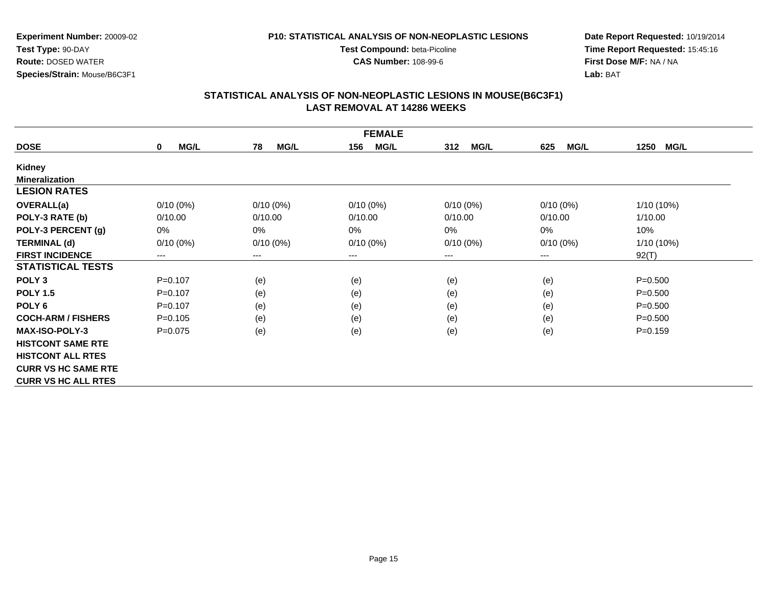**Experiment Number:** 20009-02**Test Type:** 90-DAY**Route:** DOSED WATER

**Species/Strain:** Mouse/B6C3F1

#### **P10: STATISTICAL ANALYSIS OF NON-NEOPLASTIC LESIONS**

**Test Compound:** beta-Picoline

**CAS Number:** 108-99-6

**Date Report Requested:** 10/19/2014**Time Report Requested:** 15:45:16**First Dose M/F:** NA / NA**Lab:** BAT

|                            | <b>FEMALE</b>       |                   |                    |             |                    |              |
|----------------------------|---------------------|-------------------|--------------------|-------------|--------------------|--------------|
| <b>DOSE</b>                | MG/L<br>$\mathbf 0$ | <b>MG/L</b><br>78 | <b>MG/L</b><br>156 | MG/L<br>312 | <b>MG/L</b><br>625 | MG/L<br>1250 |
| Kidney                     |                     |                   |                    |             |                    |              |
| <b>Mineralization</b>      |                     |                   |                    |             |                    |              |
| <b>LESION RATES</b>        |                     |                   |                    |             |                    |              |
| OVERALL(a)                 | $0/10(0\%)$         | $0/10(0\%)$       | $0/10(0\%)$        | $0/10(0\%)$ | $0/10(0\%)$        | $1/10(10\%)$ |
| POLY-3 RATE (b)            | 0/10.00             | 0/10.00           | 0/10.00            | 0/10.00     | 0/10.00            | 1/10.00      |
| POLY-3 PERCENT (g)         | 0%                  | 0%                | $0\%$              | 0%          | 0%                 | 10%          |
| <b>TERMINAL (d)</b>        | $0/10(0\%)$         | $0/10(0\%)$       | $0/10(0\%)$        | $0/10(0\%)$ | $0/10(0\%)$        | 1/10 (10%)   |
| <b>FIRST INCIDENCE</b>     | $---$               | $---$             | $---$              | ---         | ---                | 92(T)        |
| <b>STATISTICAL TESTS</b>   |                     |                   |                    |             |                    |              |
| POLY <sub>3</sub>          | $P = 0.107$         | (e)               | (e)                | (e)         | (e)                | $P = 0.500$  |
| <b>POLY 1.5</b>            | $P = 0.107$         | (e)               | (e)                | (e)         | (e)                | $P = 0.500$  |
| POLY <sub>6</sub>          | $P = 0.107$         | (e)               | (e)                | (e)         | (e)                | $P = 0.500$  |
| <b>COCH-ARM / FISHERS</b>  | $P = 0.105$         | (e)               | (e)                | (e)         | (e)                | $P = 0.500$  |
| <b>MAX-ISO-POLY-3</b>      | $P=0.075$           | (e)               | (e)                | (e)         | (e)                | $P = 0.159$  |
| <b>HISTCONT SAME RTE</b>   |                     |                   |                    |             |                    |              |
| <b>HISTCONT ALL RTES</b>   |                     |                   |                    |             |                    |              |
| <b>CURR VS HC SAME RTE</b> |                     |                   |                    |             |                    |              |
| <b>CURR VS HC ALL RTES</b> |                     |                   |                    |             |                    |              |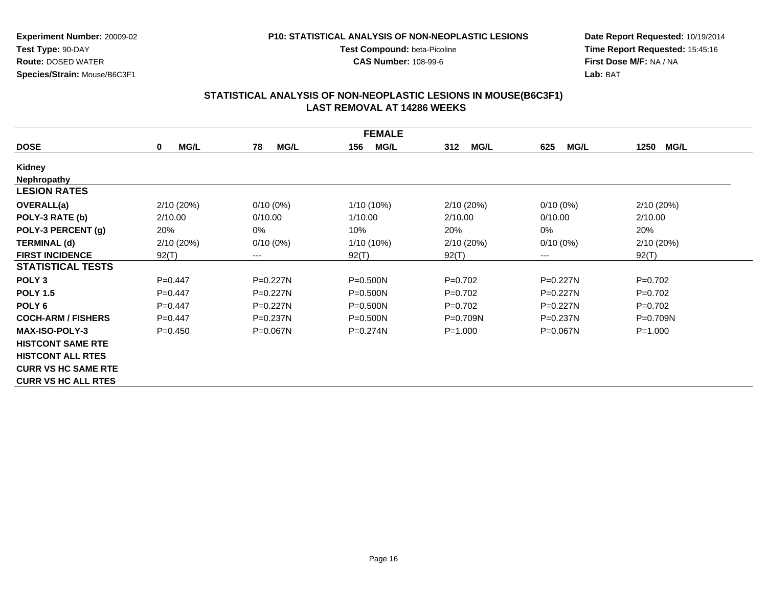**Experiment Number:** 20009-02**Test Type:** 90-DAY

 **Route:** DOSED WATER**Species/Strain:** Mouse/B6C3F1

#### **P10: STATISTICAL ANALYSIS OF NON-NEOPLASTIC LESIONS**

**Test Compound:** beta-Picoline

**CAS Number:** 108-99-6

**Date Report Requested:** 10/19/2014**Time Report Requested:** 15:45:16**First Dose M/F:** NA / NA**Lab:** BAT

|                            | <b>FEMALE</b>           |                   |                    |                    |                    |                     |
|----------------------------|-------------------------|-------------------|--------------------|--------------------|--------------------|---------------------|
| <b>DOSE</b>                | <b>MG/L</b><br>$\bf{0}$ | <b>MG/L</b><br>78 | 156<br><b>MG/L</b> | <b>MG/L</b><br>312 | <b>MG/L</b><br>625 | <b>MG/L</b><br>1250 |
| Kidney                     |                         |                   |                    |                    |                    |                     |
| <b>Nephropathy</b>         |                         |                   |                    |                    |                    |                     |
| <b>LESION RATES</b>        |                         |                   |                    |                    |                    |                     |
| <b>OVERALL(a)</b>          | 2/10 (20%)              | $0/10(0\%)$       | 1/10 (10%)         | 2/10(20%)          | $0/10(0\%)$        | 2/10(20%)           |
| POLY-3 RATE (b)            | 2/10.00                 | 0/10.00           | 1/10.00            | 2/10.00            | 0/10.00            | 2/10.00             |
| POLY-3 PERCENT (g)         | 20%                     | 0%                | 10%                | 20%                | 0%                 | 20%                 |
| <b>TERMINAL (d)</b>        | 2/10 (20%)              | $0/10(0\%)$       | 1/10 (10%)         | 2/10(20%)          | $0/10(0\%)$        | 2/10(20%)           |
| <b>FIRST INCIDENCE</b>     | 92(T)                   | $---$             | 92(T)              | 92(T)              | ---                | 92(T)               |
| <b>STATISTICAL TESTS</b>   |                         |                   |                    |                    |                    |                     |
| POLY <sub>3</sub>          | $P=0.447$               | P=0.227N          | $P = 0.500N$       | $P=0.702$          | P=0.227N           | $P=0.702$           |
| <b>POLY 1.5</b>            | $P=0.447$               | $P=0.227N$        | $P = 0.500N$       | $P=0.702$          | $P=0.227N$         | $P=0.702$           |
| POLY <sub>6</sub>          | $P=0.447$               | P=0.227N          | $P = 0.500N$       | $P=0.702$          | $P=0.227N$         | $P=0.702$           |
| <b>COCH-ARM / FISHERS</b>  | $P=0.447$               | $P = 0.237N$      | $P = 0.500N$       | $P=0.709N$         | $P=0.237N$         | $P = 0.709N$        |
| <b>MAX-ISO-POLY-3</b>      | $P=0.450$               | $P = 0.067N$      | $P = 0.274N$       | $P = 1.000$        | $P = 0.067N$       | $P = 1.000$         |
| <b>HISTCONT SAME RTE</b>   |                         |                   |                    |                    |                    |                     |
| <b>HISTCONT ALL RTES</b>   |                         |                   |                    |                    |                    |                     |
| <b>CURR VS HC SAME RTE</b> |                         |                   |                    |                    |                    |                     |
| <b>CURR VS HC ALL RTES</b> |                         |                   |                    |                    |                    |                     |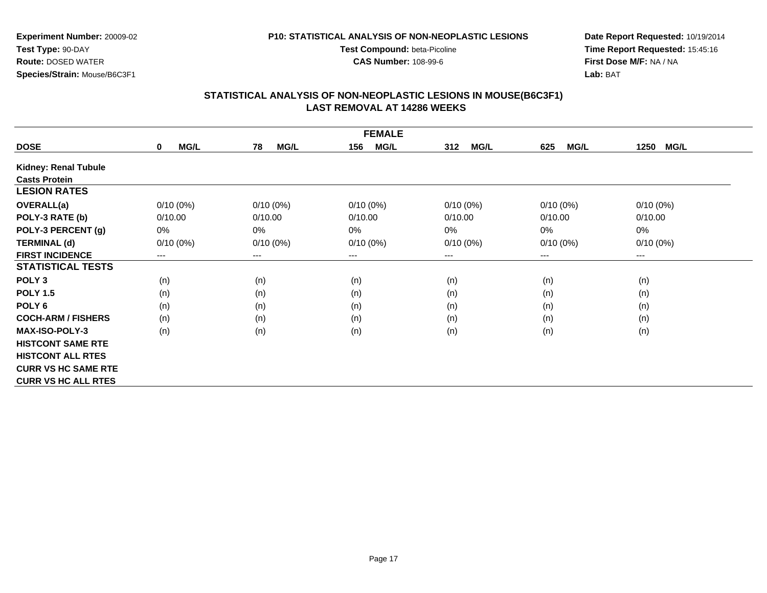#### **P10: STATISTICAL ANALYSIS OF NON-NEOPLASTIC LESIONS**

**Test Compound:** beta-Picoline**CAS Number:** 108-99-6

**Date Report Requested:** 10/19/2014 **Time Report Requested:** 15:45:16**First Dose M/F:** NA / NA**Lab:** BAT

|                            |                            |                   | <b>FEMALE</b>      |                    |                    |                     |
|----------------------------|----------------------------|-------------------|--------------------|--------------------|--------------------|---------------------|
| <b>DOSE</b>                | <b>MG/L</b><br>$\mathbf 0$ | <b>MG/L</b><br>78 | 156<br><b>MG/L</b> | <b>MG/L</b><br>312 | <b>MG/L</b><br>625 | <b>MG/L</b><br>1250 |
| Kidney: Renal Tubule       |                            |                   |                    |                    |                    |                     |
| <b>Casts Protein</b>       |                            |                   |                    |                    |                    |                     |
| <b>LESION RATES</b>        |                            |                   |                    |                    |                    |                     |
| <b>OVERALL(a)</b>          | $0/10(0\%)$                | $0/10(0\%)$       | $0/10(0\%)$        | $0/10(0\%)$        | $0/10(0\%)$        | $0/10(0\%)$         |
| POLY-3 RATE (b)            | 0/10.00                    | 0/10.00           | 0/10.00            | 0/10.00            | 0/10.00            | 0/10.00             |
| POLY-3 PERCENT (g)         | 0%                         | 0%                | $0\%$              | 0%                 | 0%                 | 0%                  |
| <b>TERMINAL (d)</b>        | $0/10(0\%)$                | $0/10(0\%)$       | $0/10(0\%)$        | $0/10(0\%)$        | $0/10(0\%)$        | $0/10(0\%)$         |
| <b>FIRST INCIDENCE</b>     | $---$                      | $---$             | $--$               | ---                | $---$              | $---$               |
| <b>STATISTICAL TESTS</b>   |                            |                   |                    |                    |                    |                     |
| POLY <sub>3</sub>          | (n)                        | (n)               | (n)                | (n)                | (n)                | (n)                 |
| <b>POLY 1.5</b>            | (n)                        | (n)               | (n)                | (n)                | (n)                | (n)                 |
| POLY <sub>6</sub>          | (n)                        | (n)               | (n)                | (n)                | (n)                | (n)                 |
| <b>COCH-ARM / FISHERS</b>  | (n)                        | (n)               | (n)                | (n)                | (n)                | (n)                 |
| <b>MAX-ISO-POLY-3</b>      | (n)                        | (n)               | (n)                | (n)                | (n)                | (n)                 |
| <b>HISTCONT SAME RTE</b>   |                            |                   |                    |                    |                    |                     |
| <b>HISTCONT ALL RTES</b>   |                            |                   |                    |                    |                    |                     |
| <b>CURR VS HC SAME RTE</b> |                            |                   |                    |                    |                    |                     |
| <b>CURR VS HC ALL RTES</b> |                            |                   |                    |                    |                    |                     |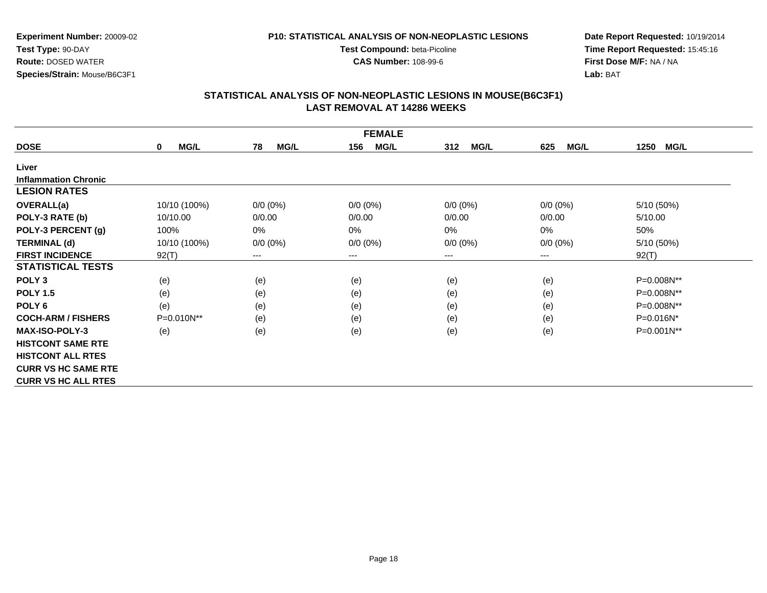**Test Compound:** beta-Picoline**CAS Number:** 108-99-6

**Experiment Number:** 20009-02**Test Type:** 90-DAY **Route:** DOSED WATER**Species/Strain:** Mouse/B6C3F1

#### **Date Report Requested:** 10/19/2014**Time Report Requested:** 15:45:16**First Dose M/F:** NA / NA**Lab:** BAT

|                             |                            |                        | <b>FEMALE</b>          |                    |                    |                     |
|-----------------------------|----------------------------|------------------------|------------------------|--------------------|--------------------|---------------------|
| <b>DOSE</b>                 | <b>MG/L</b><br>$\mathbf 0$ | 78<br><b>MG/L</b>      | MG/L<br>156            | 312<br><b>MG/L</b> | <b>MG/L</b><br>625 | 1250<br><b>MG/L</b> |
| Liver                       |                            |                        |                        |                    |                    |                     |
| <b>Inflammation Chronic</b> |                            |                        |                        |                    |                    |                     |
| <b>LESION RATES</b>         |                            |                        |                        |                    |                    |                     |
| <b>OVERALL(a)</b>           | 10/10 (100%)               | $0/0 (0\%)$            | $0/0 (0\%)$            | $0/0 (0\%)$        | $0/0 (0\%)$        | 5/10 (50%)          |
| POLY-3 RATE (b)             | 10/10.00                   | 0/0.00                 | 0/0.00                 | 0/0.00             | 0/0.00             | 5/10.00             |
| POLY-3 PERCENT (g)          | 100%                       | 0%                     | 0%                     | 0%                 | 0%                 | 50%                 |
| <b>TERMINAL (d)</b>         | 10/10 (100%)               | $0/0 (0\%)$            | $0/0 (0\%)$            | $0/0 (0\%)$        | $0/0 (0\%)$        | 5/10 (50%)          |
| <b>FIRST INCIDENCE</b>      | 92(T)                      | $\qquad \qquad \cdots$ | $\qquad \qquad \cdots$ | ---                | $---$              | 92(T)               |
| <b>STATISTICAL TESTS</b>    |                            |                        |                        |                    |                    |                     |
| POLY <sub>3</sub>           | (e)                        | (e)                    | (e)                    | (e)                | (e)                | P=0.008N**          |
| <b>POLY 1.5</b>             | (e)                        | (e)                    | (e)                    | (e)                | (e)                | P=0.008N**          |
| POLY <sub>6</sub>           | (e)                        | (e)                    | (e)                    | (e)                | (e)                | P=0.008N**          |
| <b>COCH-ARM / FISHERS</b>   | P=0.010N**                 | (e)                    | (e)                    | (e)                | (e)                | P=0.016N*           |
| <b>MAX-ISO-POLY-3</b>       | (e)                        | (e)                    | (e)                    | (e)                | (e)                | P=0.001N**          |
| <b>HISTCONT SAME RTE</b>    |                            |                        |                        |                    |                    |                     |
| <b>HISTCONT ALL RTES</b>    |                            |                        |                        |                    |                    |                     |
| <b>CURR VS HC SAME RTE</b>  |                            |                        |                        |                    |                    |                     |
| <b>CURR VS HC ALL RTES</b>  |                            |                        |                        |                    |                    |                     |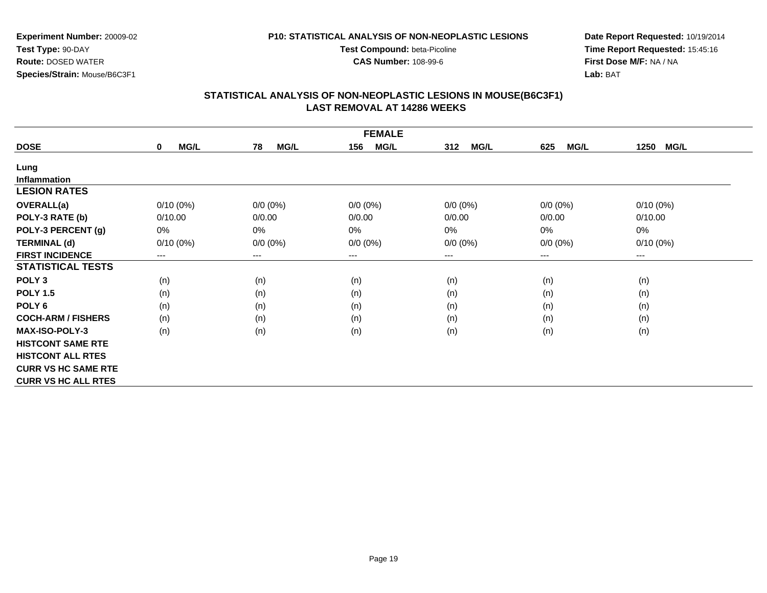**Test Compound:** beta-Picoline**CAS Number:** 108-99-6

**Experiment Number:** 20009-02**Test Type:** 90-DAY **Route:** DOSED WATER**Species/Strain:** Mouse/B6C3F1

#### **Date Report Requested:** 10/19/2014**Time Report Requested:** 15:45:16**First Dose M/F:** NA / NA**Lab:** BAT

|                            |                         |                   | <b>FEMALE</b>          |                    |                    |                     |
|----------------------------|-------------------------|-------------------|------------------------|--------------------|--------------------|---------------------|
| <b>DOSE</b>                | <b>MG/L</b><br>$\bf{0}$ | <b>MG/L</b><br>78 | <b>MG/L</b><br>156     | 312<br><b>MG/L</b> | <b>MG/L</b><br>625 | <b>MG/L</b><br>1250 |
| Lung                       |                         |                   |                        |                    |                    |                     |
| <b>Inflammation</b>        |                         |                   |                        |                    |                    |                     |
| <b>LESION RATES</b>        |                         |                   |                        |                    |                    |                     |
| <b>OVERALL(a)</b>          | $0/10(0\%)$             | $0/0 (0\%)$       | $0/0 (0\%)$            | $0/0 (0\%)$        | $0/0 (0\%)$        | $0/10(0\%)$         |
| POLY-3 RATE (b)            | 0/10.00                 | 0/0.00            | 0/0.00                 | 0/0.00             | 0/0.00             | 0/10.00             |
| POLY-3 PERCENT (g)         | 0%                      | 0%                | 0%                     | 0%                 | 0%                 | 0%                  |
| <b>TERMINAL (d)</b>        | $0/10(0\%)$             | $0/0 (0\%)$       | $0/0 (0\%)$            | $0/0 (0\%)$        | $0/0 (0\%)$        | $0/10(0\%)$         |
| <b>FIRST INCIDENCE</b>     | ---                     | ---               | $\qquad \qquad \cdots$ | $--$               | ---                | $--$                |
| <b>STATISTICAL TESTS</b>   |                         |                   |                        |                    |                    |                     |
| POLY <sub>3</sub>          | (n)                     | (n)               | (n)                    | (n)                | (n)                | (n)                 |
| <b>POLY 1.5</b>            | (n)                     | (n)               | (n)                    | (n)                | (n)                | (n)                 |
| POLY <sub>6</sub>          | (n)                     | (n)               | (n)                    | (n)                | (n)                | (n)                 |
| <b>COCH-ARM / FISHERS</b>  | (n)                     | (n)               | (n)                    | (n)                | (n)                | (n)                 |
| <b>MAX-ISO-POLY-3</b>      | (n)                     | (n)               | (n)                    | (n)                | (n)                | (n)                 |
| <b>HISTCONT SAME RTE</b>   |                         |                   |                        |                    |                    |                     |
| <b>HISTCONT ALL RTES</b>   |                         |                   |                        |                    |                    |                     |
| <b>CURR VS HC SAME RTE</b> |                         |                   |                        |                    |                    |                     |
| <b>CURR VS HC ALL RTES</b> |                         |                   |                        |                    |                    |                     |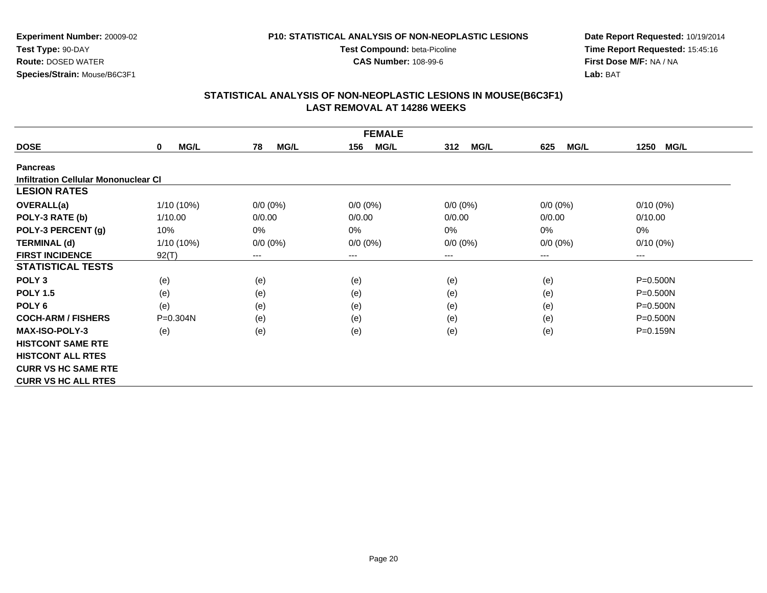**Test Compound:** beta-Picoline**CAS Number:** 108-99-6

**Experiment Number:** 20009-02**Test Type:** 90-DAY **Route:** DOSED WATER**Species/Strain:** Mouse/B6C3F1

#### **Date Report Requested:** 10/19/2014**Time Report Requested:** 15:45:16**First Dose M/F:** NA / NA**Lab:** BAT

|                                      |                            |                        | <b>FEMALE</b>          |                    |                    |                        |
|--------------------------------------|----------------------------|------------------------|------------------------|--------------------|--------------------|------------------------|
| <b>DOSE</b>                          | <b>MG/L</b><br>$\mathbf 0$ | <b>MG/L</b><br>78      | 156<br><b>MG/L</b>     | <b>MG/L</b><br>312 | <b>MG/L</b><br>625 | 1250<br><b>MG/L</b>    |
| <b>Pancreas</b>                      |                            |                        |                        |                    |                    |                        |
| Infiltration Cellular Mononuclear CI |                            |                        |                        |                    |                    |                        |
| <b>LESION RATES</b>                  |                            |                        |                        |                    |                    |                        |
| OVERALL(a)                           | 1/10 (10%)                 | $0/0 (0\%)$            | $0/0 (0\%)$            | $0/0 (0\%)$        | $0/0(0\%)$         | $0/10(0\%)$            |
| POLY-3 RATE (b)                      | 1/10.00                    | 0/0.00                 | 0/0.00                 | 0/0.00             | 0/0.00             | 0/10.00                |
| POLY-3 PERCENT (g)                   | 10%                        | $0\%$                  | 0%                     | 0%                 | $0\%$              | 0%                     |
| <b>TERMINAL (d)</b>                  | 1/10 (10%)                 | $0/0 (0\%)$            | $0/0 (0\%)$            | $0/0 (0\%)$        | $0/0 (0\%)$        | $0/10(0\%)$            |
| <b>FIRST INCIDENCE</b>               | 92(T)                      | $\qquad \qquad \cdots$ | $\qquad \qquad \cdots$ | ---                | ---                | $\qquad \qquad \cdots$ |
| <b>STATISTICAL TESTS</b>             |                            |                        |                        |                    |                    |                        |
| POLY <sub>3</sub>                    | (e)                        | (e)                    | (e)                    | (e)                | (e)                | $P = 0.500N$           |
| <b>POLY 1.5</b>                      | (e)                        | (e)                    | (e)                    | (e)                | (e)                | $P = 0.500N$           |
| POLY 6                               | (e)                        | (e)                    | (e)                    | (e)                | (e)                | $P = 0.500N$           |
| <b>COCH-ARM / FISHERS</b>            | $P = 0.304N$               | (e)                    | (e)                    | (e)                | (e)                | $P = 0.500N$           |
| <b>MAX-ISO-POLY-3</b>                | (e)                        | (e)                    | (e)                    | (e)                | (e)                | $P = 0.159N$           |
| <b>HISTCONT SAME RTE</b>             |                            |                        |                        |                    |                    |                        |
| <b>HISTCONT ALL RTES</b>             |                            |                        |                        |                    |                    |                        |
| <b>CURR VS HC SAME RTE</b>           |                            |                        |                        |                    |                    |                        |
| <b>CURR VS HC ALL RTES</b>           |                            |                        |                        |                    |                    |                        |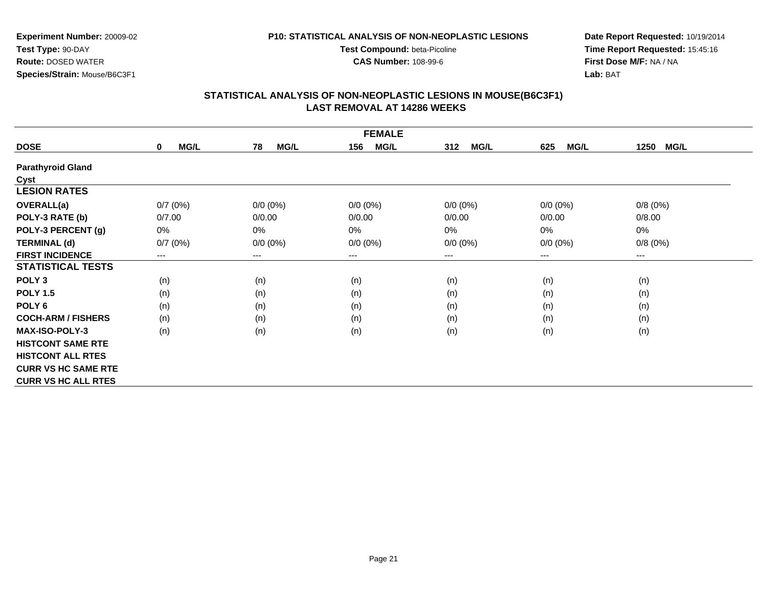**Test Compound:** beta-Picoline**CAS Number:** 108-99-6

**Experiment Number:** 20009-02**Test Type:** 90-DAY **Route:** DOSED WATER**Species/Strain:** Mouse/B6C3F1

**Date Report Requested:** 10/19/2014**Time Report Requested:** 15:45:16**First Dose M/F:** NA / NA**Lab:** BAT

|                            |                            |                   | <b>FEMALE</b>          |                    |                    |                     |
|----------------------------|----------------------------|-------------------|------------------------|--------------------|--------------------|---------------------|
| <b>DOSE</b>                | <b>MG/L</b><br>$\mathbf 0$ | <b>MG/L</b><br>78 | <b>MG/L</b><br>156     | <b>MG/L</b><br>312 | <b>MG/L</b><br>625 | <b>MG/L</b><br>1250 |
| <b>Parathyroid Gland</b>   |                            |                   |                        |                    |                    |                     |
| <b>Cyst</b>                |                            |                   |                        |                    |                    |                     |
| <b>LESION RATES</b>        |                            |                   |                        |                    |                    |                     |
| <b>OVERALL(a)</b>          | 0/7(0%)                    | $0/0 (0\%)$       | $0/0 (0\%)$            | $0/0 (0\%)$        | $0/0 (0\%)$        | 0/8(0%)             |
| POLY-3 RATE (b)            | 0/7.00                     | 0/0.00            | 0/0.00                 | 0/0.00             | 0/0.00             | 0/8.00              |
| POLY-3 PERCENT (g)         | $0\%$                      | 0%                | 0%                     | 0%                 | $0\%$              | 0%                  |
| <b>TERMINAL (d)</b>        | 0/7(0%)                    | $0/0 (0\%)$       | $0/0 (0\%)$            | $0/0 (0\%)$        | $0/0 (0\%)$        | 0/8(0%)             |
| <b>FIRST INCIDENCE</b>     | $---$                      | ---               | $\qquad \qquad \cdots$ | ---                | $---$              | $\qquad \qquad - -$ |
| <b>STATISTICAL TESTS</b>   |                            |                   |                        |                    |                    |                     |
| POLY <sub>3</sub>          | (n)                        | (n)               | (n)                    | (n)                | (n)                | (n)                 |
| <b>POLY 1.5</b>            | (n)                        | (n)               | (n)                    | (n)                | (n)                | (n)                 |
| POLY <sub>6</sub>          | (n)                        | (n)               | (n)                    | (n)                | (n)                | (n)                 |
| <b>COCH-ARM / FISHERS</b>  | (n)                        | (n)               | (n)                    | (n)                | (n)                | (n)                 |
| <b>MAX-ISO-POLY-3</b>      | (n)                        | (n)               | (n)                    | (n)                | (n)                | (n)                 |
| <b>HISTCONT SAME RTE</b>   |                            |                   |                        |                    |                    |                     |
| <b>HISTCONT ALL RTES</b>   |                            |                   |                        |                    |                    |                     |
| <b>CURR VS HC SAME RTE</b> |                            |                   |                        |                    |                    |                     |
| <b>CURR VS HC ALL RTES</b> |                            |                   |                        |                    |                    |                     |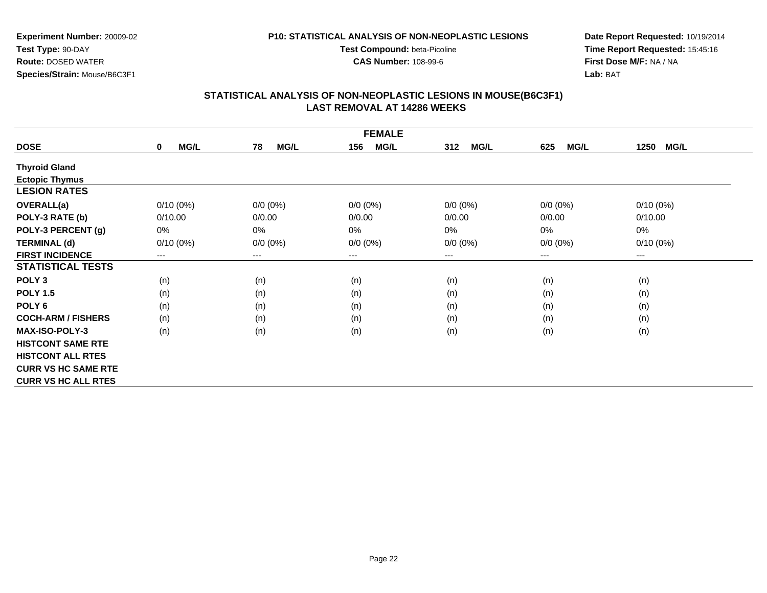**Experiment Number:** 20009-02**Test Type:** 90-DAY **Route:** DOSED WATER**Species/Strain:** Mouse/B6C3F1

**Date Report Requested:** 10/19/2014**Time Report Requested:** 15:45:16**First Dose M/F:** NA / NA**Lab:** BAT

### **STATISTICAL ANALYSIS OF NON-NEOPLASTIC LESIONS IN MOUSE(B6C3F1) LAST REMOVAL AT 14286 WEEKS**

**Test Compound:** beta-Picoline**CAS Number:** 108-99-6

|                            |             |                   | <b>FEMALE</b>              |                    |                    |                     |
|----------------------------|-------------|-------------------|----------------------------|--------------------|--------------------|---------------------|
| <b>DOSE</b>                | MG/L<br>0   | <b>MG/L</b><br>78 | <b>MG/L</b><br>156         | <b>MG/L</b><br>312 | <b>MG/L</b><br>625 | <b>MG/L</b><br>1250 |
| <b>Thyroid Gland</b>       |             |                   |                            |                    |                    |                     |
| <b>Ectopic Thymus</b>      |             |                   |                            |                    |                    |                     |
| <b>LESION RATES</b>        |             |                   |                            |                    |                    |                     |
| <b>OVERALL(a)</b>          | $0/10(0\%)$ | $0/0 (0\%)$       | $0/0 (0\%)$                | $0/0 (0\%)$        | $0/0 (0\%)$        | $0/10(0\%)$         |
| POLY-3 RATE (b)            | 0/10.00     | 0/0.00            | 0/0.00                     | 0/0.00             | 0/0.00             | 0/10.00             |
| POLY-3 PERCENT (g)         | 0%          | 0%                | 0%                         | 0%                 | 0%                 | 0%                  |
| <b>TERMINAL (d)</b>        | $0/10(0\%)$ | $0/0 (0\%)$       | $0/0 (0\%)$                | $0/0 (0\%)$        | $0/0 (0\%)$        | $0/10(0\%)$         |
| <b>FIRST INCIDENCE</b>     | ---         | ---               | $\qquad \qquad - \qquad -$ | $---$              | ---                | $---$               |
| <b>STATISTICAL TESTS</b>   |             |                   |                            |                    |                    |                     |
| POLY <sub>3</sub>          | (n)         | (n)               | (n)                        | (n)                | (n)                | (n)                 |
| <b>POLY 1.5</b>            | (n)         | (n)               | (n)                        | (n)                | (n)                | (n)                 |
| POLY <sub>6</sub>          | (n)         | (n)               | (n)                        | (n)                | (n)                | (n)                 |
| <b>COCH-ARM / FISHERS</b>  | (n)         | (n)               | (n)                        | (n)                | (n)                | (n)                 |
| <b>MAX-ISO-POLY-3</b>      | (n)         | (n)               | (n)                        | (n)                | (n)                | (n)                 |
| <b>HISTCONT SAME RTE</b>   |             |                   |                            |                    |                    |                     |
| <b>HISTCONT ALL RTES</b>   |             |                   |                            |                    |                    |                     |
| <b>CURR VS HC SAME RTE</b> |             |                   |                            |                    |                    |                     |
| <b>CURR VS HC ALL RTES</b> |             |                   |                            |                    |                    |                     |

Page 22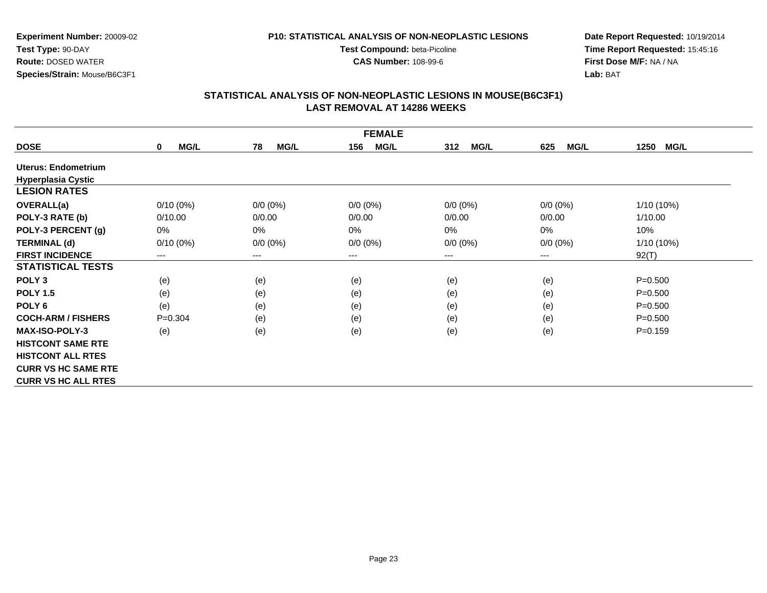#### **P10: STATISTICAL ANALYSIS OF NON-NEOPLASTIC LESIONS**

**Test Compound:** beta-Picoline**CAS Number:** 108-99-6

**Date Report Requested:** 10/19/2014**Time Report Requested:** 15:45:16**First Dose M/F:** NA / NA**Lab:** BAT

|                            |                     |                   | <b>FEMALE</b>      |                    |                    |                     |
|----------------------------|---------------------|-------------------|--------------------|--------------------|--------------------|---------------------|
| <b>DOSE</b>                | MG/L<br>$\mathbf 0$ | 78<br><b>MG/L</b> | <b>MG/L</b><br>156 | 312<br><b>MG/L</b> | 625<br><b>MG/L</b> | <b>MG/L</b><br>1250 |
| Uterus: Endometrium        |                     |                   |                    |                    |                    |                     |
| <b>Hyperplasia Cystic</b>  |                     |                   |                    |                    |                    |                     |
| <b>LESION RATES</b>        |                     |                   |                    |                    |                    |                     |
| <b>OVERALL(a)</b>          | $0/10(0\%)$         | $0/0 (0\%)$       | $0/0 (0\%)$        | $0/0 (0\%)$        | $0/0 (0\%)$        | $1/10(10\%)$        |
| POLY-3 RATE (b)            | 0/10.00             | 0/0.00            | 0/0.00             | 0/0.00             | 0/0.00             | 1/10.00             |
| POLY-3 PERCENT (g)         | 0%                  | 0%                | 0%                 | 0%                 | 0%                 | 10%                 |
| <b>TERMINAL (d)</b>        | $0/10(0\%)$         | $0/0 (0\%)$       | $0/0 (0\%)$        | $0/0 (0\%)$        | $0/0 (0\%)$        | 1/10 (10%)          |
| <b>FIRST INCIDENCE</b>     | ---                 | ---               | $--$               | ---                | ---                | 92(T)               |
| <b>STATISTICAL TESTS</b>   |                     |                   |                    |                    |                    |                     |
| POLY <sub>3</sub>          | (e)                 | (e)               | (e)                | (e)                | (e)                | $P = 0.500$         |
| <b>POLY 1.5</b>            | (e)                 | (e)               | (e)                | (e)                | (e)                | $P = 0.500$         |
| POLY <sub>6</sub>          | (e)                 | (e)               | (e)                | (e)                | (e)                | $P = 0.500$         |
| <b>COCH-ARM / FISHERS</b>  | $P=0.304$           | (e)               | (e)                | (e)                | (e)                | $P = 0.500$         |
| <b>MAX-ISO-POLY-3</b>      | (e)                 | (e)               | (e)                | (e)                | (e)                | $P = 0.159$         |
| <b>HISTCONT SAME RTE</b>   |                     |                   |                    |                    |                    |                     |
| <b>HISTCONT ALL RTES</b>   |                     |                   |                    |                    |                    |                     |
| <b>CURR VS HC SAME RTE</b> |                     |                   |                    |                    |                    |                     |
| <b>CURR VS HC ALL RTES</b> |                     |                   |                    |                    |                    |                     |